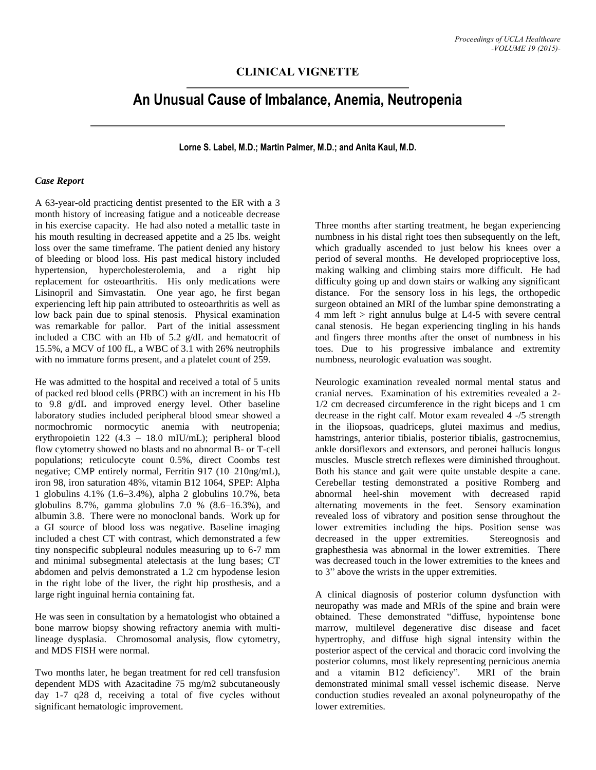## **CLINICAL VIGNETTE**

# **An Unusual Cause of Imbalance, Anemia, Neutropenia**

**Lorne S. Label, M.D.; Martin Palmer, M.D.; and Anita Kaul, M.D.**

#### *Case Report*

A 63-year-old practicing dentist presented to the ER with a 3 month history of increasing fatigue and a noticeable decrease in his exercise capacity. He had also noted a metallic taste in his mouth resulting in decreased appetite and a 25 lbs. weight loss over the same timeframe. The patient denied any history of bleeding or blood loss. His past medical history included hypertension, hypercholesterolemia, and a right hip replacement for osteoarthritis. His only medications were Lisinopril and Simvastatin. One year ago, he first began experiencing left hip pain attributed to osteoarthritis as well as low back pain due to spinal stenosis. Physical examination was remarkable for pallor. Part of the initial assessment included a CBC with an Hb of 5.2 g/dL and hematocrit of 15.5%, a MCV of 100 fL, a WBC of 3.1 with 26% neutrophils with no immature forms present, and a platelet count of 259.

He was admitted to the hospital and received a total of 5 units of packed red blood cells (PRBC) with an increment in his Hb to 9.8 g/dL and improved energy level. Other baseline laboratory studies included peripheral blood smear showed a normochromic normocytic anemia with neutropenia; erythropoietin 122 (4.3 – 18.0 mIU/mL); peripheral blood flow cytometry showed no blasts and no abnormal B- or T-cell populations; reticulocyte count 0.5%, direct Coombs test negative; CMP entirely normal, Ferritin 917 (10–210ng/mL), iron 98, iron saturation 48%, vitamin B12 1064, SPEP: Alpha 1 globulins 4.1% (1.6–3.4%), alpha 2 globulins 10.7%, beta globulins 8.7%, gamma globulins  $7.0\%$   $(8.6-16.3\%)$ , and albumin 3.8. There were no monoclonal bands. Work up for a GI source of blood loss was negative. Baseline imaging included a chest CT with contrast, which demonstrated a few tiny nonspecific subpleural nodules measuring up to 6-7 mm and minimal subsegmental atelectasis at the lung bases; CT abdomen and pelvis demonstrated a 1.2 cm hypodense lesion in the right lobe of the liver, the right hip prosthesis, and a large right inguinal hernia containing fat.

He was seen in consultation by a hematologist who obtained a bone marrow biopsy showing refractory anemia with multilineage dysplasia. Chromosomal analysis, flow cytometry, and MDS FISH were normal.

Two months later, he began treatment for red cell transfusion dependent MDS with Azacitadine 75 mg/m2 subcutaneously day 1-7 q28 d, receiving a total of five cycles without significant hematologic improvement.

Three months after starting treatment, he began experiencing numbness in his distal right toes then subsequently on the left, which gradually ascended to just below his knees over a period of several months. He developed proprioceptive loss, making walking and climbing stairs more difficult. He had difficulty going up and down stairs or walking any significant distance. For the sensory loss in his legs, the orthopedic surgeon obtained an MRI of the lumbar spine demonstrating a 4 mm left > right annulus bulge at L4-5 with severe central canal stenosis. He began experiencing tingling in his hands and fingers three months after the onset of numbness in his toes. Due to his progressive imbalance and extremity numbness, neurologic evaluation was sought.

Neurologic examination revealed normal mental status and cranial nerves. Examination of his extremities revealed a 2- 1/2 cm decreased circumference in the right biceps and 1 cm decrease in the right calf. Motor exam revealed 4 -/5 strength in the iliopsoas, quadriceps, glutei maximus and medius, hamstrings, anterior tibialis, posterior tibialis, gastrocnemius, ankle dorsiflexors and extensors, and peronei hallucis longus muscles. Muscle stretch reflexes were diminished throughout. Both his stance and gait were quite unstable despite a cane. Cerebellar testing demonstrated a positive Romberg and abnormal heel-shin movement with decreased rapid alternating movements in the feet. Sensory examination revealed loss of vibratory and position sense throughout the lower extremities including the hips. Position sense was decreased in the upper extremities. Stereognosis and graphesthesia was abnormal in the lower extremities. There was decreased touch in the lower extremities to the knees and to 3" above the wrists in the upper extremities.

A clinical diagnosis of posterior column dysfunction with neuropathy was made and MRIs of the spine and brain were obtained. These demonstrated "diffuse, hypointense bone marrow, multilevel degenerative disc disease and facet hypertrophy, and diffuse high signal intensity within the posterior aspect of the cervical and thoracic cord involving the posterior columns, most likely representing pernicious anemia and a vitamin B12 deficiency". MRI of the brain demonstrated minimal small vessel ischemic disease. Nerve conduction studies revealed an axonal polyneuropathy of the lower extremities.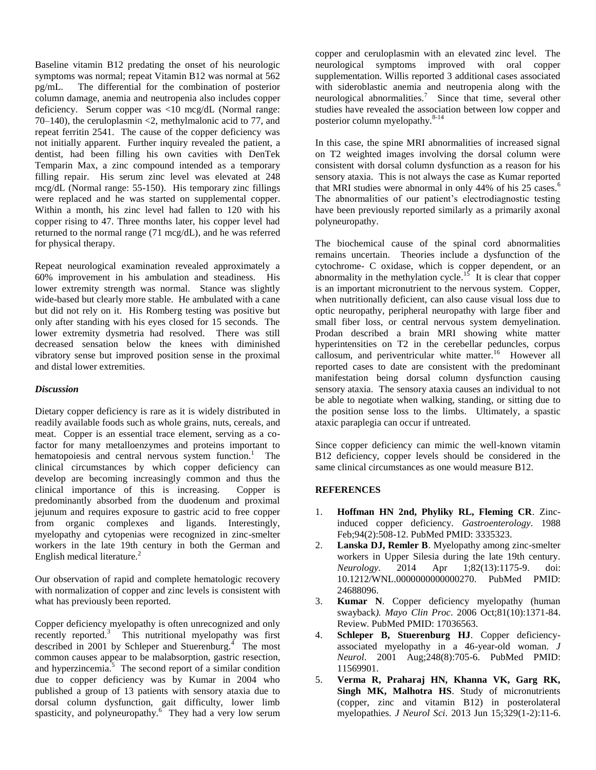Baseline vitamin B12 predating the onset of his neurologic symptoms was normal; repeat Vitamin B12 was normal at 562 pg/mL. The differential for the combination of posterior column damage, anemia and neutropenia also includes copper deficiency. Serum copper was <10 mcg/dL (Normal range: 70–140), the ceruloplasmin <2, methylmalonic acid to 77, and repeat ferritin 2541. The cause of the copper deficiency was not initially apparent. Further inquiry revealed the patient, a dentist, had been filling his own cavities with DenTek Temparin Max, a zinc compound intended as a temporary filling repair. His serum zinc level was elevated at 248 mcg/dL (Normal range: 55-150). His temporary zinc fillings were replaced and he was started on supplemental copper. Within a month, his zinc level had fallen to 120 with his copper rising to 47. Three months later, his copper level had returned to the normal range (71 mcg/dL), and he was referred for physical therapy.

Repeat neurological examination revealed approximately a 60% improvement in his ambulation and steadiness. His lower extremity strength was normal. Stance was slightly wide-based but clearly more stable. He ambulated with a cane but did not rely on it. His Romberg testing was positive but only after standing with his eyes closed for 15 seconds. The lower extremity dysmetria had resolved. There was still decreased sensation below the knees with diminished vibratory sense but improved position sense in the proximal and distal lower extremities.

#### *Discussion*

Dietary copper deficiency is rare as it is widely distributed in readily available foods such as whole grains, nuts, cereals, and meat. Copper is an essential trace element, serving as a cofactor for many metalloenzymes and proteins important to hematopoiesis and central nervous system function.<sup>1</sup> The clinical circumstances by which copper deficiency can develop are becoming increasingly common and thus the clinical importance of this is increasing. Copper is predominantly absorbed from the duodenum and proximal jejunum and requires exposure to gastric acid to free copper from organic complexes and ligands. Interestingly, myelopathy and cytopenias were recognized in zinc-smelter workers in the late 19th century in both the German and English medical literature.<sup>2</sup>

Our observation of rapid and complete hematologic recovery with normalization of copper and zinc levels is consistent with what has previously been reported.

Copper deficiency myelopathy is often unrecognized and only recently reported.<sup>3</sup> This nutritional myelopathy was first described in 2001 by Schleper and Stuerenburg.<sup>4</sup> The most common causes appear to be malabsorption, gastric resection, and hyperzincemia. $5 \text{ The second report of a similar condition}$ due to copper deficiency was by Kumar in 2004 who published a group of 13 patients with sensory ataxia due to dorsal column dysfunction, gait difficulty, lower limb spasticity, and polyneuropathy. $\frac{6}{5}$  They had a very low serum copper and ceruloplasmin with an elevated zinc level. The neurological symptoms improved with oral copper supplementation. Willis reported 3 additional cases associated with sideroblastic anemia and neutropenia along with the neurological abnormalities.<sup>7</sup> Since that time, several other studies have revealed the association between low copper and posterior column myelopathy. $8-14$ 

In this case, the spine MRI abnormalities of increased signal on T2 weighted images involving the dorsal column were consistent with dorsal column dysfunction as a reason for his sensory ataxia. This is not always the case as Kumar reported that MRI studies were abnormal in only 44% of his  $25 \text{ cases.}^6$ The abnormalities of our patient's electrodiagnostic testing have been previously reported similarly as a primarily axonal polyneuropathy.

The biochemical cause of the spinal cord abnormalities remains uncertain. Theories include a dysfunction of the cytochrome- C oxidase, which is copper dependent, or an abnormality in the methylation cycle.<sup>15</sup> It is clear that copper is an important micronutrient to the nervous system. Copper, when nutritionally deficient, can also cause visual loss due to optic neuropathy, peripheral neuropathy with large fiber and small fiber loss, or central nervous system demyelination. Prodan described a brain MRI showing white matter hyperintensities on T2 in the cerebellar peduncles, corpus callosum, and periventricular white matter.<sup>16</sup> However all reported cases to date are consistent with the predominant manifestation being dorsal column dysfunction causing sensory ataxia. The sensory ataxia causes an individual to not be able to negotiate when walking, standing, or sitting due to the position sense loss to the limbs. Ultimately, a spastic ataxic paraplegia can occur if untreated.

Since copper deficiency can mimic the well-known vitamin B12 deficiency, copper levels should be considered in the same clinical circumstances as one would measure B12.

### **REFERENCES**

- 1. **Hoffman HN 2nd, Phyliky RL, Fleming CR**. Zincinduced copper deficiency. *Gastroenterology*. 1988 Feb;94(2):508-12. PubMed PMID: 3335323.
- 2. **Lanska DJ, Remler B**. Myelopathy among zinc-smelter workers in Upper Silesia during the late 19th century. *Neurology*. 2014 Apr 1;82(13):1175-9. doi: 10.1212/WNL.0000000000000270. PubMed PMID: 24688096.
- 3. **Kumar N**. Copper deficiency myelopathy (human swayback*). Mayo Clin Proc*. 2006 Oct;81(10):1371-84. Review. PubMed PMID: 17036563.
- 4. **Schleper B, Stuerenburg HJ**. Copper deficiencyassociated myelopathy in a 46-year-old woman. *J Neurol*. 2001 Aug;248(8):705-6. PubMed PMID: 11569901.
- 5. **Verma R, Praharaj HN, Khanna VK, Garg RK, Singh MK, Malhotra HS**. Study of micronutrients (copper, zinc and vitamin B12) in posterolateral myelopathies. *J Neurol Sci*. 2013 Jun 15;329(1-2):11-6.